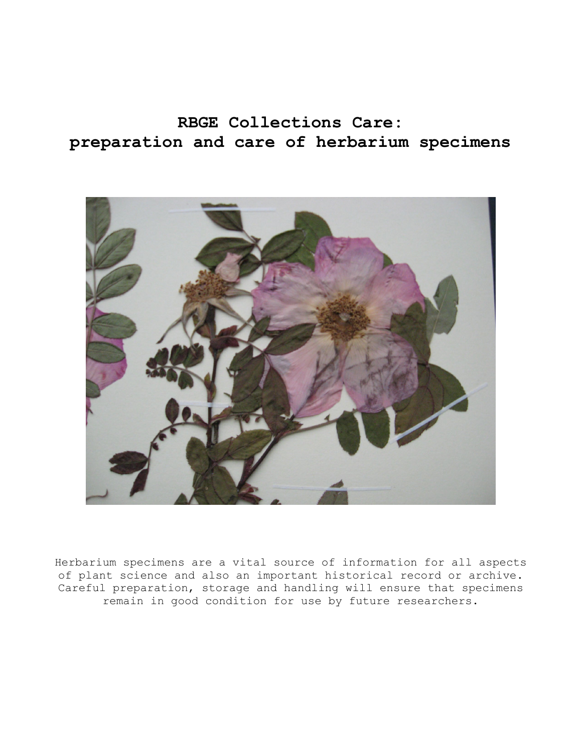# **RBGE Collections Care: preparation and care of herbarium specimens**



Herbarium specimens are a vital source of information for all aspects of plant science and also an important historical record or archive. Careful preparation, storage and handling will ensure that specimens remain in good condition for use by future researchers.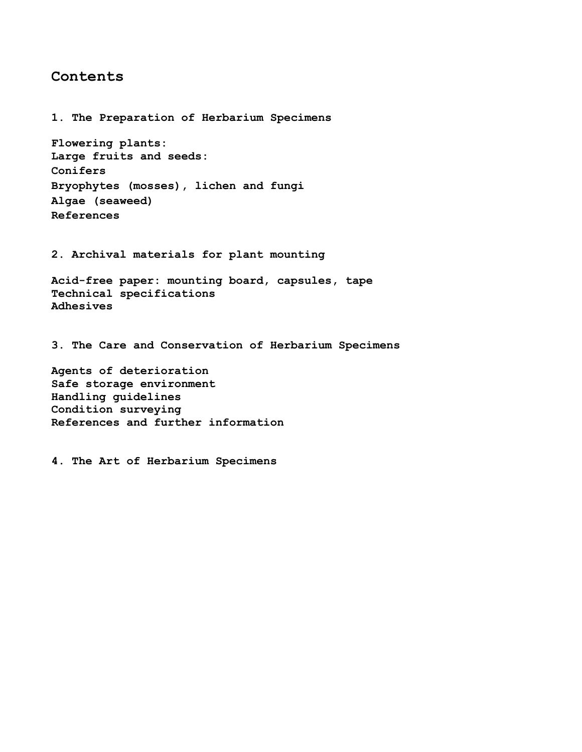### **Contents**

**1. The Preparation of Herbarium Specimens Flowering plants: Large fruits and seeds: Conifers Bryophytes (mosses), lichen and fungi Algae (seaweed) References 2. Archival materials for plant mounting Acid-free paper: mounting board, capsules, tape Technical specifications Adhesives 3. The Care and Conservation of Herbarium Specimens Agents of deterioration Safe storage environment Handling guidelines Condition surveying References and further information** 

**4. The Art of Herbarium Specimens**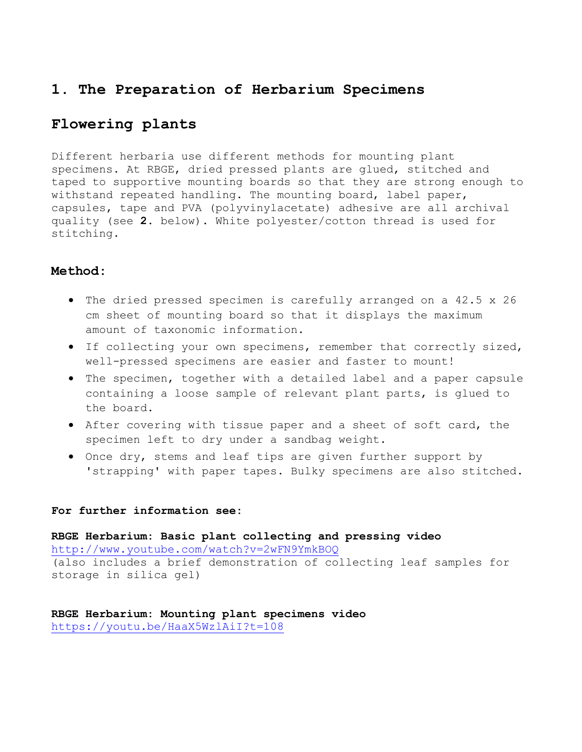# **1. The Preparation of Herbarium Specimens**

# **Flowering plants**

Different herbaria use different methods for mounting plant specimens. At RBGE, dried pressed plants are glued, stitched and taped to supportive mounting boards so that they are strong enough to withstand repeated handling. The mounting board, label paper, capsules, tape and PVA (polyvinylacetate) adhesive are all archival quality (see **2.** below). White polyester/cotton thread is used for stitching.

### **Method:**

- The dried pressed specimen is carefully arranged on a 42.5 x 26 cm sheet of mounting board so that it displays the maximum amount of taxonomic information.
- If collecting your own specimens, remember that correctly sized, well-pressed specimens are easier and faster to mount!
- The specimen, together with a detailed label and a paper capsule containing a loose sample of relevant plant parts, is glued to the board.
- After covering with tissue paper and a sheet of soft card, the specimen left to dry under a sandbag weight.
- Once dry, stems and leaf tips are given further support by 'strapping' with paper tapes. Bulky specimens are also stitched.

#### **For further information see:**

**RBGE Herbarium: Basic plant collecting and pressing video**  <http://www.youtube.com/watch?v=2wFN9YmkBOQ> (also includes a brief demonstration of collecting leaf samples for storage in silica gel)

**RBGE Herbarium: Mounting plant specimens video**  <https://youtu.be/HaaX5WzlAiI?t=108>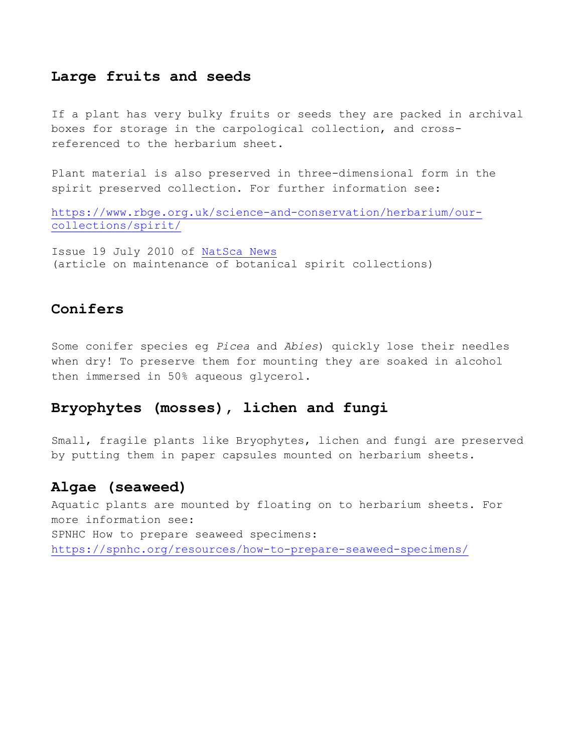## **Large fruits and seeds**

If a plant has very bulky fruits or seeds they are packed in archival boxes for storage in the carpological collection, and crossreferenced to the herbarium sheet.

Plant material is also preserved in three-dimensional form in the spirit preserved collection. For further information see:

[https://www.rbge.org.uk/science-and-conservation/herbarium/our](https://www.rbge.org.uk/science-and-conservation/herbarium/our-collections/spirit/)[collections/spirit/](https://www.rbge.org.uk/science-and-conservation/herbarium/our-collections/spirit/)

Issue 19 July 2010 of [NatSca News](https://www.natsca.org/article/127)  (article on maintenance of botanical spirit collections)

### **Conifers**

Some conifer species eg *Picea* and *Abies*) quickly lose their needles when dry! To preserve them for mounting they are soaked in alcohol then immersed in 50% aqueous glycerol.

### **Bryophytes (mosses), lichen and fungi**

Small, fragile plants like Bryophytes, lichen and fungi are preserved by putting them in paper capsules mounted on herbarium sheets.

## **Algae (seaweed)**

Aquatic plants are mounted by floating on to herbarium sheets. For more information see: SPNHC How to prepare seaweed specimens: <https://spnhc.org/resources/how-to-prepare-seaweed-specimens/>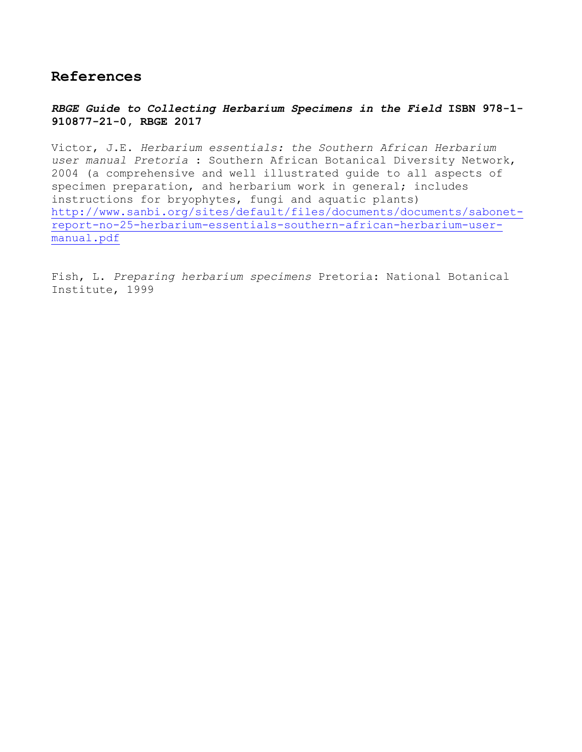# **References**

*RBGE Guide to Collecting Herbarium Specimens in the Field* **ISBN 978-1- 910877-21-0, RBGE 2017** 

Victor, J.E. *Herbarium essentials: the Southern African Herbarium user manual Pretoria* : Southern African Botanical Diversity Network, 2004 (a comprehensive and well illustrated guide to all aspects of specimen preparation, and herbarium work in general; includes instructions for bryophytes, fungi and aquatic plants) [http://www.sanbi.org/sites/default/files/documents/documents/sabonet](http://www.sanbi.org/sites/default/files/documents/documents/sabonet-report-no-25-herbarium-essentials-southern-african-herbarium-user-manual.pdf)[report-no-25-herbarium-essentials-southern-african-herbarium-user](http://www.sanbi.org/sites/default/files/documents/documents/sabonet-report-no-25-herbarium-essentials-southern-african-herbarium-user-manual.pdf)[manual.pdf](http://www.sanbi.org/sites/default/files/documents/documents/sabonet-report-no-25-herbarium-essentials-southern-african-herbarium-user-manual.pdf)

Fish, L. *Preparing herbarium specimens* Pretoria: National Botanical Institute, 1999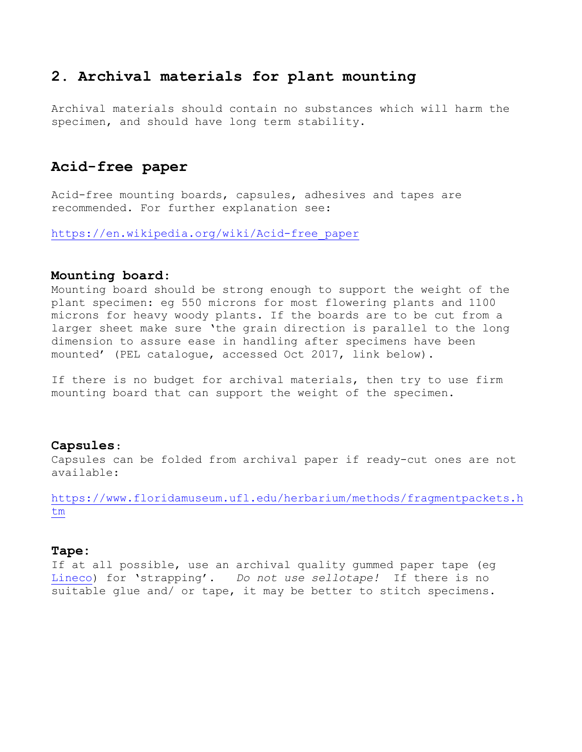# **2. Archival materials for plant mounting**

Archival materials should contain no substances which will harm the specimen, and should have long term stability.

## **Acid-free paper**

Acid-free mounting boards, capsules, adhesives and tapes are recommended. For further explanation see:

[https://en.wikipedia.org/wiki/Acid-free\\_paper](https://en.wikipedia.org/wiki/Acid-free_paper)

#### **Mounting board**:

Mounting board should be strong enough to support the weight of the plant specimen: eg 550 microns for most flowering plants and 1100 microns for heavy woody plants. If the boards are to be cut from a larger sheet make sure 'the grain direction is parallel to the long dimension to assure ease in handling after specimens have been mounted' (PEL catalogue, accessed Oct 2017, link below).

If there is no budget for archival materials, then try to use firm mounting board that can support the weight of the specimen.

#### **Capsules**:

Capsules can be folded from archival paper if ready-cut ones are not available:

[https://www.floridamuseum.ufl.edu/herbarium/methods/fragmentpackets.h](https://www.floridamuseum.ufl.edu/herbarium/methods/fragmentpackets.htm) [tm](https://www.floridamuseum.ufl.edu/herbarium/methods/fragmentpackets.htm)

#### **Tape:**

If at all possible, use an archival quality gummed paper tape (eg [Lineco\)](http://www.amazon.co.uk/Archival-Gummed-Paper-Hinging-1inx130ft/dp/B005Z3XPOK) for 'strapping'. *Do not use sellotape!* If there is no suitable glue and/ or tape, it may be better to stitch specimens.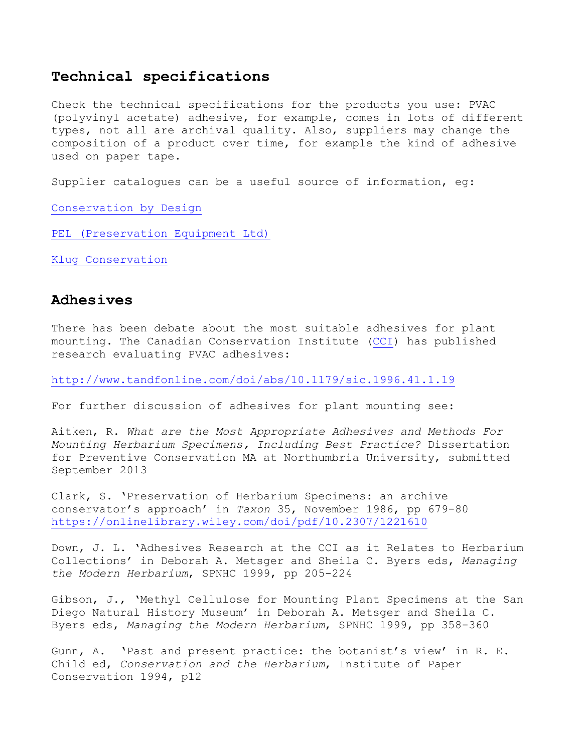### **Technical specifications**

Check the technical specifications for the products you use: PVAC (polyvinyl acetate) adhesive, for example, comes in lots of different types, not all are archival quality. Also, suppliers may change the composition of a product over time, for example the kind of adhesive used on paper tape.

Supplier catalogues can be a useful source of information, eg:

[Conservation by Design](https://www.cxdinternational.com/) 

[PEL \(Preservation Equipment Ltd\)](http://www.preservationequipment.com/)

[Klug Conservation](http://www.klug-conservation.com/) 

#### **Adhesives**

There has been debate about the most suitable adhesives for plant mounting. The Canadian Conservation Institute [\(CCI\)](https://www.canada.ca/en/conservation-institute.html) has published research evaluating PVAC adhesives:

<http://www.tandfonline.com/doi/abs/10.1179/sic.1996.41.1.19>

For further discussion of adhesives for plant mounting see:

Aitken, R. *What are the Most Appropriate Adhesives and Methods For Mounting Herbarium Specimens, Including Best Practice?* Dissertation for Preventive Conservation MA at Northumbria University, submitted September 2013

Clark, S. 'Preservation of Herbarium Specimens: an archive conservator's approach' in *Taxon* 35, November 1986, pp 679-80 <https://onlinelibrary.wiley.com/doi/pdf/10.2307/1221610>

Down, J. L. 'Adhesives Research at the CCI as it Relates to Herbarium Collections' in Deborah A. Metsger and Sheila C. Byers eds, *Managing the Modern Herbarium*, SPNHC 1999, pp 205-224

Gibson, J., 'Methyl Cellulose for Mounting Plant Specimens at the San Diego Natural History Museum' in Deborah A. Metsger and Sheila C. Byers eds, *Managing the Modern Herbarium*, SPNHC 1999, pp 358-360

Gunn, A. 'Past and present practice: the botanist's view' in R. E. Child ed, *Conservation and the Herbarium*, Institute of Paper Conservation 1994, p12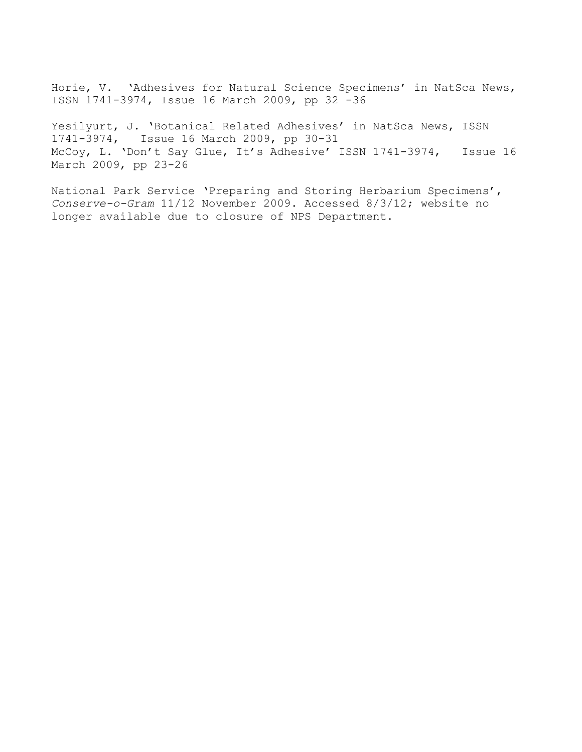Horie, V. 'Adhesives for Natural Science Specimens' in NatSca News, ISSN 1741-3974, Issue 16 March 2009, pp 32 -36

Yesilyurt, J. 'Botanical Related Adhesives' in NatSca News, ISSN 1741-3974, Issue 16 March 2009, pp 30-31 McCoy, L. 'Don't Say Glue, It's Adhesive' ISSN 1741-3974, Issue 16 March 2009, pp 23-26

National Park Service 'Preparing and Storing Herbarium Specimens', *Conserve-o-Gram* 11/12 November 2009. Accessed 8/3/12; website no longer available due to closure of NPS Department.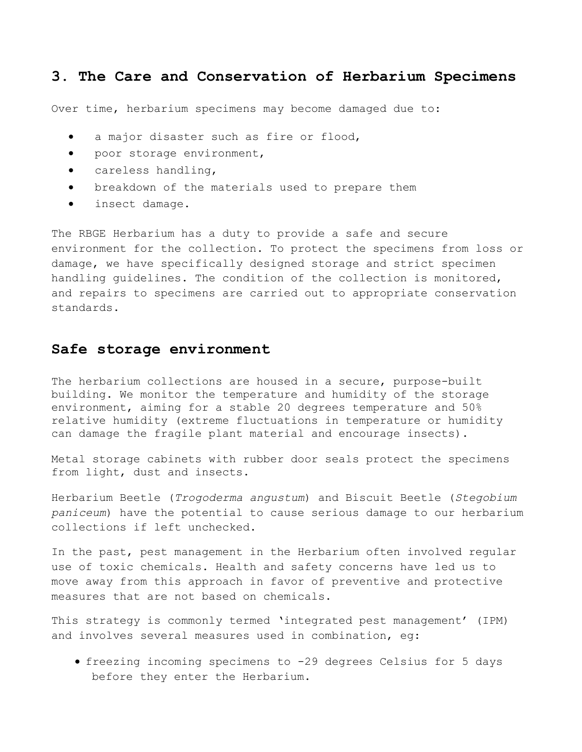### **3. The Care and Conservation of Herbarium Specimens**

Over time, herbarium specimens may become damaged due to:

- a major disaster such as fire or flood,
- poor storage environment,
- careless handling,
- breakdown of the materials used to prepare them
- insect damage.

The RBGE Herbarium has a duty to provide a safe and secure environment for the collection. To protect the specimens from loss or damage, we have specifically designed storage and strict specimen handling guidelines. The condition of the collection is monitored, and repairs to specimens are carried out to appropriate conservation standards.

#### **Safe storage environment**

The herbarium collections are housed in a secure, purpose-built building. We monitor the temperature and humidity of the storage environment, aiming for a stable 20 degrees temperature and 50% relative humidity (extreme fluctuations in temperature or humidity can damage the fragile plant material and encourage insects).

Metal storage cabinets with rubber door seals protect the specimens from light, dust and insects.

Herbarium Beetle (*Trogoderma angustum*) and Biscuit Beetle (*Stegobium paniceum*) have the potential to cause serious damage to our herbarium collections if left unchecked.

In the past, pest management in the Herbarium often involved regular use of toxic chemicals. Health and safety concerns have led us to move away from this approach in favor of preventive and protective measures that are not based on chemicals.

This strategy is commonly termed 'integrated pest management' (IPM) and involves several measures used in combination, eg:

• freezing incoming specimens to -29 degrees Celsius for 5 days before they enter the Herbarium.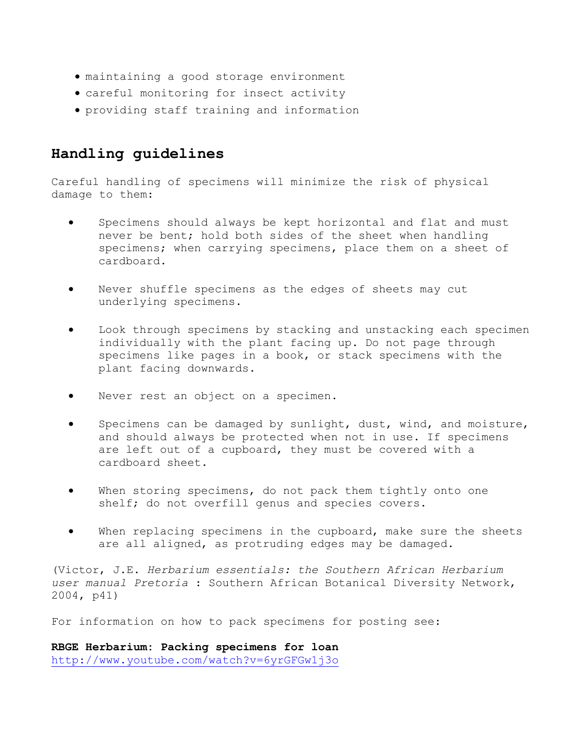- maintaining a good storage environment
- careful monitoring for insect activity
- providing staff training and information

# **Handling guidelines**

Careful handling of specimens will minimize the risk of physical damage to them:

- Specimens should always be kept horizontal and flat and must never be bent; hold both sides of the sheet when handling specimens; when carrying specimens, place them on a sheet of cardboard.
- Never shuffle specimens as the edges of sheets may cut underlying specimens.
- Look through specimens by stacking and unstacking each specimen individually with the plant facing up. Do not page through specimens like pages in a book, or stack specimens with the plant facing downwards.
- Never rest an object on a specimen.
- Specimens can be damaged by sunlight, dust, wind, and moisture, and should always be protected when not in use. If specimens are left out of a cupboard, they must be covered with a cardboard sheet.
- When storing specimens, do not pack them tightly onto one shelf; do not overfill genus and species covers.
- When replacing specimens in the cupboard, make sure the sheets are all aligned, as protruding edges may be damaged.

(Victor, J.E. *Herbarium essentials: the Southern African Herbarium user manual Pretoria* : Southern African Botanical Diversity Network, 2004, p41)

For information on how to pack specimens for posting see:

**RBGE Herbarium: Packing specimens for loan**  <http://www.youtube.com/watch?v=6yrGFGw1j3o>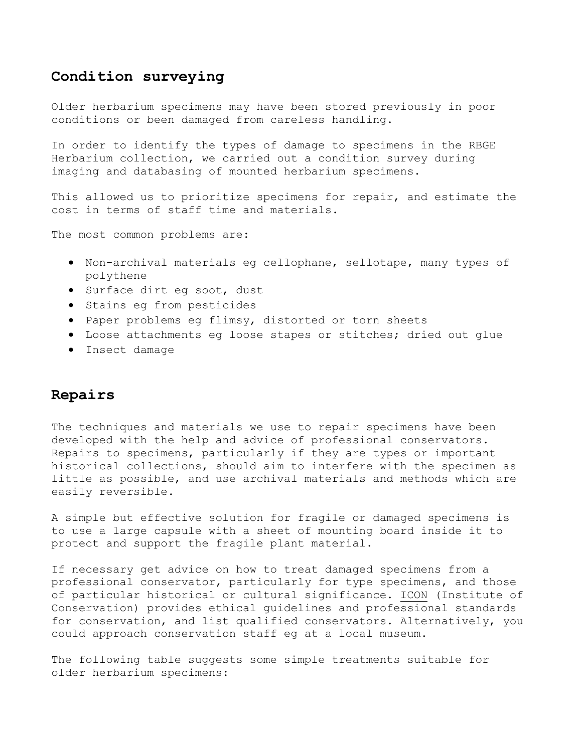### **Condition surveying**

Older herbarium specimens may have been stored previously in poor conditions or been damaged from careless handling.

In order to identify the types of damage to specimens in the RBGE Herbarium collection, we carried out a condition survey during imaging and databasing of mounted herbarium specimens.

This allowed us to prioritize specimens for repair, and estimate the cost in terms of staff time and materials.

The most common problems are:

- Non-archival materials eg cellophane, sellotape, many types of polythene
- Surface dirt eg soot, dust
- Stains eg from pesticides
- Paper problems eg flimsy, distorted or torn sheets
- Loose attachments eg loose stapes or stitches; dried out glue
- Insect damage

### **Repairs**

The techniques and materials we use to repair specimens have been developed with the help and advice of professional conservators. Repairs to specimens, particularly if they are types or important historical collections, should aim to interfere with the specimen as little as possible, and use archival materials and methods which are easily reversible.

A simple but effective solution for fragile or damaged specimens is to use a large capsule with a sheet of mounting board inside it to protect and support the fragile plant material.

If necessary get advice on how to treat damaged specimens from a professional conservator, particularly for type specimens, and those of particular historical or cultural significance. [ICON](http://www.icon.org.uk/) (Institute of Conservation) provides ethical guidelines and professional standards for conservation, and list qualified conservators. Alternatively, you could approach conservation staff eg at a local museum.

The following table suggests some simple treatments suitable for older herbarium specimens: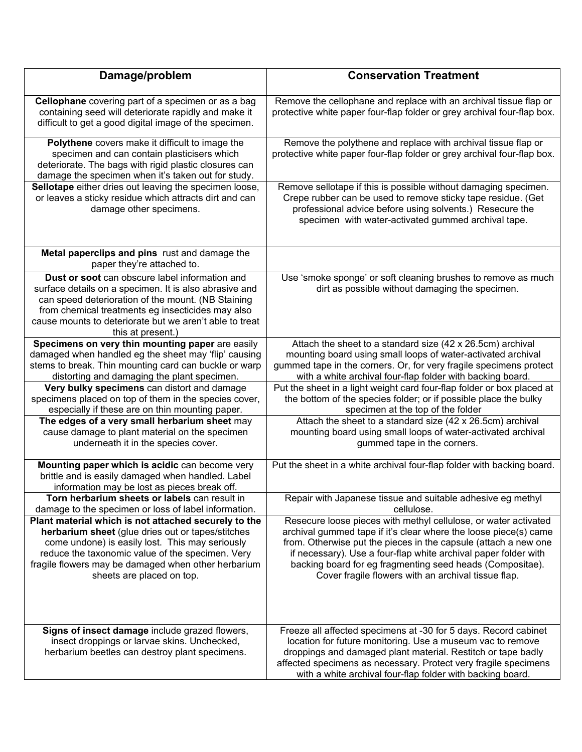| Damage/problem                                                                                                                                                                                                                                                                                       | <b>Conservation Treatment</b>                                                                                                                                                                                                                                                                                                                                                                 |
|------------------------------------------------------------------------------------------------------------------------------------------------------------------------------------------------------------------------------------------------------------------------------------------------------|-----------------------------------------------------------------------------------------------------------------------------------------------------------------------------------------------------------------------------------------------------------------------------------------------------------------------------------------------------------------------------------------------|
| Cellophane covering part of a specimen or as a bag<br>containing seed will deteriorate rapidly and make it<br>difficult to get a good digital image of the specimen.                                                                                                                                 | Remove the cellophane and replace with an archival tissue flap or<br>protective white paper four-flap folder or grey archival four-flap box.                                                                                                                                                                                                                                                  |
| Polythene covers make it difficult to image the<br>specimen and can contain plasticisers which<br>deteriorate. The bags with rigid plastic closures can<br>damage the specimen when it's taken out for study.                                                                                        | Remove the polythene and replace with archival tissue flap or<br>protective white paper four-flap folder or grey archival four-flap box.                                                                                                                                                                                                                                                      |
| Sellotape either dries out leaving the specimen loose,<br>or leaves a sticky residue which attracts dirt and can<br>damage other specimens.                                                                                                                                                          | Remove sellotape if this is possible without damaging specimen.<br>Crepe rubber can be used to remove sticky tape residue. (Get<br>professional advice before using solvents.) Resecure the<br>specimen with water-activated gummed archival tape.                                                                                                                                            |
| Metal paperclips and pins rust and damage the<br>paper they're attached to.                                                                                                                                                                                                                          |                                                                                                                                                                                                                                                                                                                                                                                               |
| Dust or soot can obscure label information and<br>surface details on a specimen. It is also abrasive and<br>can speed deterioration of the mount. (NB Staining<br>from chemical treatments eg insecticides may also<br>cause mounts to deteriorate but we aren't able to treat<br>this at present.)  | Use 'smoke sponge' or soft cleaning brushes to remove as much<br>dirt as possible without damaging the specimen.                                                                                                                                                                                                                                                                              |
| Specimens on very thin mounting paper are easily<br>damaged when handled eg the sheet may 'flip' causing<br>stems to break. Thin mounting card can buckle or warp<br>distorting and damaging the plant specimen.                                                                                     | Attach the sheet to a standard size (42 x 26.5cm) archival<br>mounting board using small loops of water-activated archival<br>gummed tape in the corners. Or, for very fragile specimens protect<br>with a white archival four-flap folder with backing board.                                                                                                                                |
| Very bulky specimens can distort and damage<br>specimens placed on top of them in the species cover,<br>especially if these are on thin mounting paper.                                                                                                                                              | Put the sheet in a light weight card four-flap folder or box placed at<br>the bottom of the species folder; or if possible place the bulky<br>specimen at the top of the folder                                                                                                                                                                                                               |
| The edges of a very small herbarium sheet may<br>cause damage to plant material on the specimen<br>underneath it in the species cover.                                                                                                                                                               | Attach the sheet to a standard size (42 x 26.5cm) archival<br>mounting board using small loops of water-activated archival<br>gummed tape in the corners.                                                                                                                                                                                                                                     |
| Mounting paper which is acidic can become very<br>brittle and is easily damaged when handled. Label<br>information may be lost as pieces break off.                                                                                                                                                  | Put the sheet in a white archival four-flap folder with backing board.                                                                                                                                                                                                                                                                                                                        |
| Torn herbarium sheets or labels can result in<br>damage to the specimen or loss of label information.                                                                                                                                                                                                | Repair with Japanese tissue and suitable adhesive eg methyl<br>cellulose.                                                                                                                                                                                                                                                                                                                     |
| Plant material which is not attached securely to the<br>herbarium sheet (glue dries out or tapes/stitches<br>come undone) is easily lost. This may seriously<br>reduce the taxonomic value of the specimen. Very<br>fragile flowers may be damaged when other herbarium<br>sheets are placed on top. | Resecure loose pieces with methyl cellulose, or water activated<br>archival gummed tape if it's clear where the loose piece(s) came<br>from. Otherwise put the pieces in the capsule (attach a new one<br>if necessary). Use a four-flap white archival paper folder with<br>backing board for eg fragmenting seed heads (Compositae).<br>Cover fragile flowers with an archival tissue flap. |
| Signs of insect damage include grazed flowers,<br>insect droppings or larvae skins. Unchecked,<br>herbarium beetles can destroy plant specimens.                                                                                                                                                     | Freeze all affected specimens at -30 for 5 days. Record cabinet<br>location for future monitoring. Use a museum vac to remove<br>droppings and damaged plant material. Restitch or tape badly<br>affected specimens as necessary. Protect very fragile specimens<br>with a white archival four-flap folder with backing board.                                                                |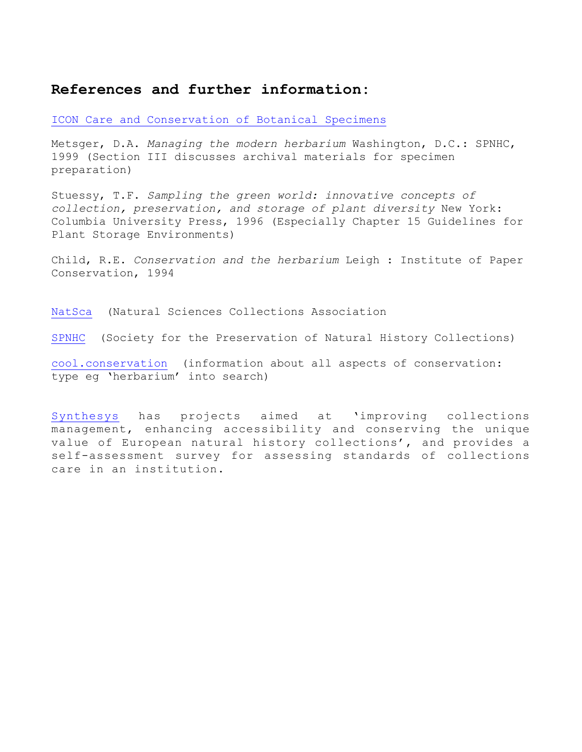### **References and further information:**

#### [ICON Care and Conservation of Botanical Specimens](https://www.icon.org.uk/resources/caring-for-your-collection/caring-for-your-treasures.html)

Metsger, D.A. *Managing the modern herbarium* Washington, D.C.: SPNHC, 1999 (Section III discusses archival materials for specimen preparation)

Stuessy, T.F. *Sampling the green world: innovative concepts of collection, preservation, and storage of plant diversity* New York: Columbia University Press, 1996 (Especially Chapter 15 Guidelines for Plant Storage Environments)

Child, R.E. *Conservation and the herbarium* Leigh : Institute of Paper Conservation, 1994

[NatSca](https://www.natsca.org/) (Natural Sciences Collections Association

[SPNHC](http://www.spnhc.org/) (Society for the Preservation of Natural History Collections)

[cool.conservation](http://cool.conservation-us.org/search.html) (information about all aspects of conservation: type eg 'herbarium' into search)

[Synthesys](http://www.synthesys.info/network-activities/synthesys3-na2/self-assessment/) has projects aimed at 'improving collections management, enhancing accessibility and conserving the unique value of European natural history collections', and provides a self-assessment survey for assessing standards of collections care in an institution.